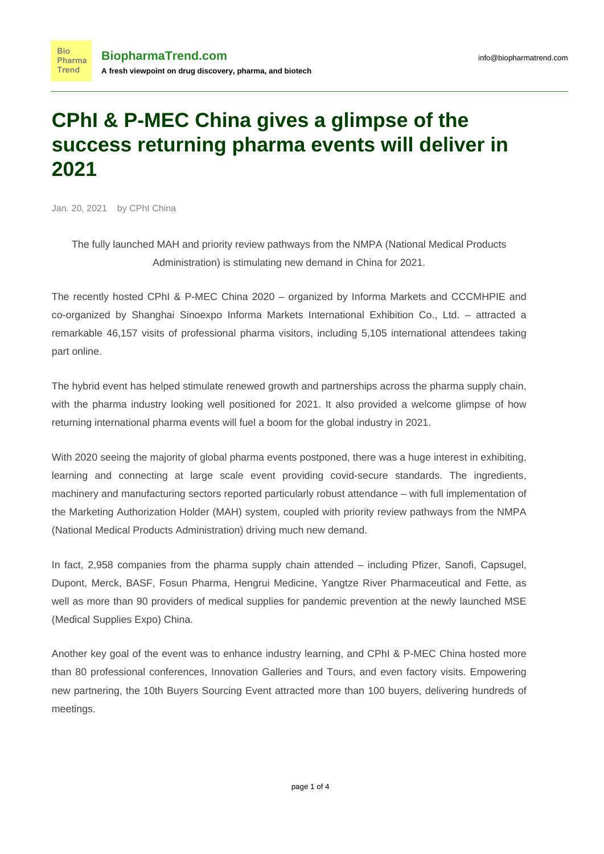## **CPhI & P-MEC China gives a glimpse of the success returning pharma events will deliver in 2021**

Jan. 20, 2021 by CPhI China

**Bio** 

The fully launched MAH and priority review pathways from the NMPA (National Medical Products Administration) is stimulating new demand in China for 2021.

The recently hosted CPhI & P-MEC China 2020 – organized by Informa Markets and CCCMHPIE and co-organized by Shanghai Sinoexpo Informa Markets International Exhibition Co., Ltd. – attracted a remarkable 46,157 visits of professional pharma visitors, including 5,105 international attendees taking part online.

The hybrid event has helped stimulate renewed growth and partnerships across the pharma supply chain, with the pharma industry looking well positioned for 2021. It also provided a welcome glimpse of how returning international pharma events will fuel a boom for the global industry in 2021.

With 2020 seeing the majority of global pharma events postponed, there was a huge interest in exhibiting, learning and connecting at large scale event providing covid-secure standards. The ingredients, machinery and manufacturing sectors reported particularly robust attendance – with full implementation of the Marketing Authorization Holder (MAH) system, coupled with priority review pathways from the NMPA (National Medical Products Administration) driving much new demand.

In fact, 2,958 companies from the pharma supply chain attended – including Pfizer, Sanofi, Capsugel, Dupont, Merck, BASF, Fosun Pharma, Hengrui Medicine, Yangtze River Pharmaceutical and Fette, as well as more than 90 providers of medical supplies for pandemic prevention at the newly launched MSE (Medical Supplies Expo) China.

Another key goal of the event was to enhance industry learning, and CPhI & P-MEC China hosted more than 80 professional conferences, Innovation Galleries and Tours, and even factory visits. Empowering new partnering, the 10th Buyers Sourcing Event attracted more than 100 buyers, delivering hundreds of meetings.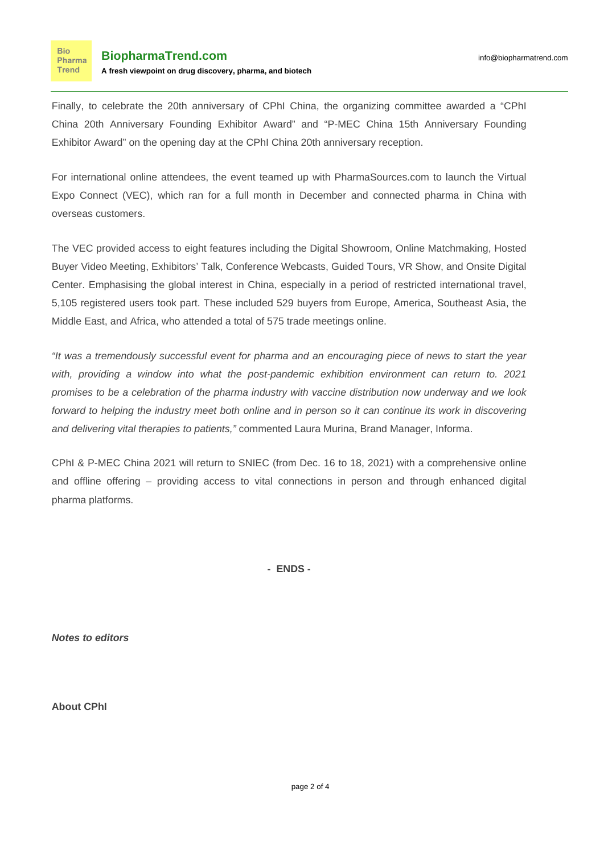Finally, to celebrate the 20th anniversary of CPhI China, the organizing committee awarded a "CPhI China 20th Anniversary Founding Exhibitor Award" and "P-MEC China 15th Anniversary Founding Exhibitor Award" on the opening day at the CPhI China 20th anniversary reception.

For international online attendees, the event teamed up with PharmaSources.com to launch the Virtual Expo Connect (VEC), which ran for a full month in December and connected pharma in China with overseas customers.

The VEC provided access to eight features including the Digital Showroom, Online Matchmaking, Hosted Buyer Video Meeting, Exhibitors' Talk, Conference Webcasts, Guided Tours, VR Show, and Onsite Digital Center. Emphasising the global interest in China, especially in a period of restricted international travel, 5,105 registered users took part. These included 529 buyers from Europe, America, Southeast Asia, the Middle East, and Africa, who attended a total of 575 trade meetings online.

"It was a tremendously successful event for pharma and an encouraging piece of news to start the year with, providing a window into what the post-pandemic exhibition environment can return to. 2021 promises to be a celebration of the pharma industry with vaccine distribution now underway and we look forward to helping the industry meet both online and in person so it can continue its work in discovering and delivering vital therapies to patients," commented Laura Murina, Brand Manager, Informa,

CPhI & P-MEC China 2021 will return to SNIEC (from Dec. 16 to 18, 2021) with a comprehensive online and offline offering – providing access to vital connections in person and through enhanced digital pharma platforms.

**- ENDS -**

**Notes to editors**

**About CPhI**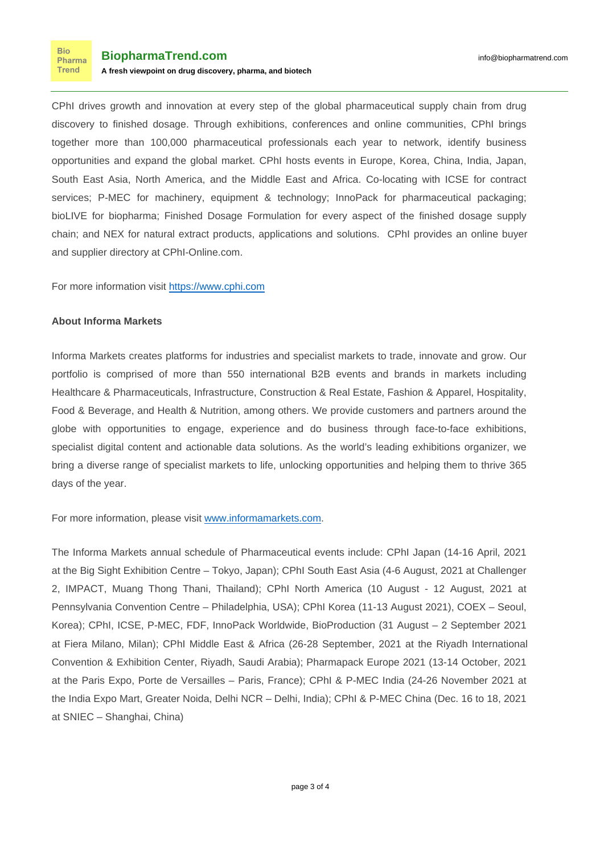CPhI drives growth and innovation at every step of the global pharmaceutical supply chain from drug discovery to finished dosage. Through exhibitions, conferences and online communities, CPhI brings together more than 100,000 pharmaceutical professionals each year to network, identify business opportunities and expand the global market. CPhI hosts events in Europe, Korea, China, India, Japan, South East Asia, North America, and the Middle East and Africa. Co-locating with ICSE for contract services; P-MEC for machinery, equipment & technology; InnoPack for pharmaceutical packaging; bioLIVE for biopharma; Finished Dosage Formulation for every aspect of the finished dosage supply chain; and NEX for natural extract products, applications and solutions. CPhI provides an online buyer and supplier directory at CPhI-Online.com.

For more information visit [https://www.cphi.com](https://www.cphi.com/)

## **About Informa Markets**

Informa Markets creates platforms for industries and specialist markets to trade, innovate and grow. Our portfolio is comprised of more than 550 international B2B events and brands in markets including Healthcare & Pharmaceuticals, Infrastructure, Construction & Real Estate, Fashion & Apparel, Hospitality, Food & Beverage, and Health & Nutrition, among others. We provide customers and partners around the globe with opportunities to engage, experience and do business through face-to-face exhibitions, specialist digital content and actionable data solutions. As the world's leading exhibitions organizer, we bring a diverse range of specialist markets to life, unlocking opportunities and helping them to thrive 365 days of the year.

For more information, please visit [www.informamarkets.com.](http://www.informamarkets.com)

The Informa Markets annual schedule of Pharmaceutical events include: CPhI Japan (14-16 April, 2021 at the Big Sight Exhibition Centre – Tokyo, Japan); CPhI South East Asia (4-6 August, 2021 at Challenger 2, IMPACT, Muang Thong Thani, Thailand); CPhI North America (10 August - 12 August, 2021 at Pennsylvania Convention Centre – Philadelphia, USA); CPhI Korea (11-13 August 2021), COEX – Seoul, Korea); CPhI, ICSE, P-MEC, FDF, InnoPack Worldwide, BioProduction (31 August – 2 September 2021 at Fiera Milano, Milan); CPhI Middle East & Africa (26-28 September, 2021 at the Riyadh International Convention & Exhibition Center, Riyadh, Saudi Arabia); Pharmapack Europe 2021 (13-14 October, 2021 at the Paris Expo, Porte de Versailles – Paris, France); CPhI & P-MEC India (24-26 November 2021 at the India Expo Mart, Greater Noida, Delhi NCR – Delhi, India); CPhI & P-MEC China (Dec. 16 to 18, 2021 at SNIEC – Shanghai, China)